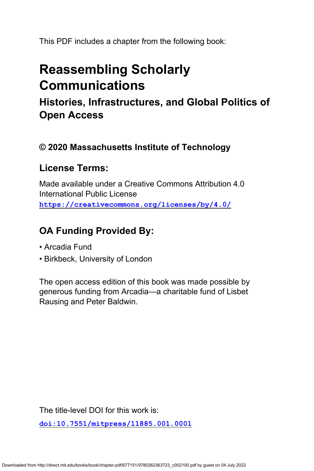This PDF includes a chapter from the following book:

# **Reassembling Scholarly Communications**

**Histories, Infrastructures, and Global Politics of Open Access**

# **© 2020 Massachusetts Institute of Technology**

# **License Terms:**

Made available under a Creative Commons Attribution 4.0 International Public License **<https://creativecommons.org/licenses/by/4.0/>**

# **OA Funding Provided By:**

- Arcadia Fund
- Birkbeck, University of London

The open access edition of this book was made possible by generous funding from Arcadia—a charitable fund of Lisbet Rausing and Peter Baldwin.

The title-level DOI for this work is:

**[doi:10.7551/mitpress/11885.001.0001](https://doi.org/10.7551/mitpress/11885.001.0001)**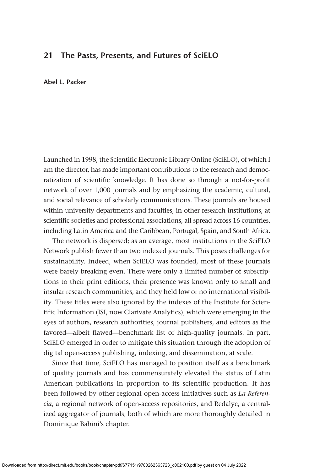# **21 The Pasts, Presents, and Futures of SciELO**

### **Abel L. Packer**

Launched in 1998, the Scientific Electronic Library Online (SciELO), of which I am the director, has made important contributions to the research and democratization of scientific knowledge. It has done so through a not-for-profit network of over 1,000 journals and by emphasizing the academic, cultural, and social relevance of scholarly communications. These journals are housed within university departments and faculties, in other research institutions, at scientific societies and professional associations, all spread across 16 countries, including Latin America and the Caribbean, Portugal, Spain, and South Africa.

The network is dispersed; as an average, most institutions in the SciELO Network publish fewer than two indexed journals. This poses challenges for sustainability. Indeed, when SciELO was founded, most of these journals were barely breaking even. There were only a limited number of subscriptions to their print editions, their presence was known only to small and insular research communities, and they held low or no international visibility. These titles were also ignored by the indexes of the Institute for Scientific Information (ISI, now Clarivate Analytics), which were emerging in the eyes of authors, research authorities, journal publishers, and editors as the favored—albeit flawed—benchmark list of high-quality journals. In part, SciELO emerged in order to mitigate this situation through the adoption of digital open-access publishing, indexing, and dissemination, at scale.

Since that time, SciELO has managed to position itself as a benchmark of quality journals and has commensurately elevated the status of Latin American publications in proportion to its scientific production. It has been followed by other regional open-access initiatives such as *La Referencia*, a regional network of open-access repositories, and Redalyc, a centralized aggregator of journals, both of which are more thoroughly detailed in Dominique Babini's chapter.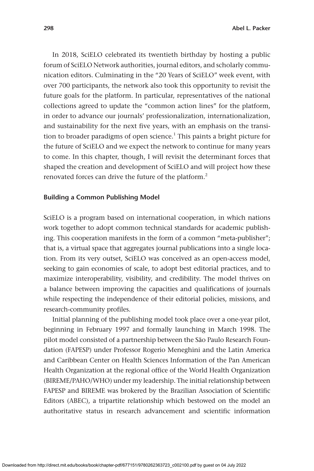In 2018, SciELO celebrated its twentieth birthday by hosting a public forum of SciELO Network authorities, journal editors, and scholarly communication editors. Culminating in the "20 Years of SciELO" week event, with over 700 participants, the network also took this opportunity to revisit the future goals for the platform. In particular, representatives of the national collections agreed to update the "common action lines" for the platform, in order to advance our journals' professionalization, internationalization, and sustainability for the next five years, with an emphasis on the transition to broader paradigms of open science.<sup>1</sup> This paints a bright picture for the future of SciELO and we expect the network to continue for many years to come. In this chapter, though, I will revisit the determinant forces that shaped the creation and development of SciELO and will project how these renovated forces can drive the future of the platform.<sup>2</sup>

#### **Building a Common Publishing Model**

SciELO is a program based on international cooperation, in which nations work together to adopt common technical standards for academic publishing. This cooperation manifests in the form of a common "meta-publisher"; that is, a virtual space that aggregates journal publications into a single location. From its very outset, SciELO was conceived as an open-access model, seeking to gain economies of scale, to adopt best editorial practices, and to maximize interoperability, visibility, and credibility. The model thrives on a balance between improving the capacities and qualifications of journals while respecting the independence of their editorial policies, missions, and research-community profiles.

Initial planning of the publishing model took place over a one-year pilot, beginning in February 1997 and formally launching in March 1998. The pilot model consisted of a partnership between the São Paulo Research Foundation (FAPESP) under Professor Rogerio Meneghini and the Latin America and Caribbean Center on Health Sciences Information of the Pan American Health Organization at the regional office of the World Health Organization (BIREME/PAHO/WHO) under my leadership. The initial relationship between FAPESP and BIREME was brokered by the Brazilian Association of Scientific Editors (ABEC), a tripartite relationship which bestowed on the model an authoritative status in research advancement and scientific information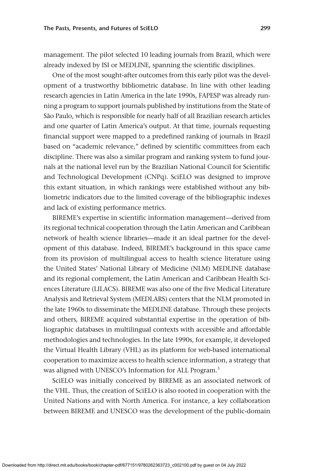management. The pilot selected 10 leading journals from Brazil, which were already indexed by ISI or MEDLINE, spanning the scientific disciplines.

One of the most sought-after outcomes from this early pilot was the development of a trustworthy bibliometric database. In line with other leading research agencies in Latin America in the late 1990s, FAPESP was already running a program to support journals published by institutions from the State of São Paulo, which is responsible for nearly half of all Brazilian research articles and one quarter of Latin America's output. At that time, journals requesting financial support were mapped to a predefined ranking of journals in Brazil based on "academic relevance," defined by scientific committees from each discipline. There was also a similar program and ranking system to fund journals at the national level run by the Brazilian National Council for Scientific and Technological Development (CNPq). SciELO was designed to improve this extant situation, in which rankings were established without any bibliometric indicators due to the limited coverage of the bibliographic indexes and lack of existing performance metrics.

BIREME's expertise in scientific information management—derived from its regional technical cooperation through the Latin American and Caribbean network of health science libraries—made it an ideal partner for the development of this database. Indeed, BIREME's background in this space came from its provision of multilingual access to health science literature using the United States' National Library of Medicine (NLM) MEDLINE database and its regional complement, the Latin American and Caribbean Health Sciences Literature (LILACS). BIREME was also one of the five Medical Literature Analysis and Retrieval System (MEDLARS) centers that the NLM promoted in the late 1960s to disseminate the MEDLINE database. Through these projects and others, BIREME acquired substantial expertise in the operation of bibliographic databases in multilingual contexts with accessible and affordable methodologies and technologies. In the late 1990s, for example, it developed the Virtual Health Library (VHL) as its platform for web-based international cooperation to maximize access to health science information, a strategy that was aligned with UNESCO's Information for ALL Program.<sup>3</sup>

SciELO was initially conceived by BIREME as an associated network of the VHL. Thus, the creation of SciELO is also rooted in cooperation with the United Nations and with North America. For instance, a key collaboration between BIREME and UNESCO was the development of the public-domain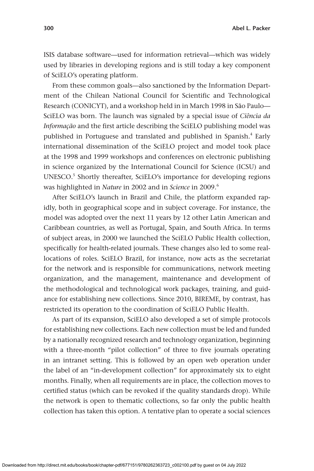**300 Abel L. Packer**

ISIS database software—used for information retrieval—which was widely used by libraries in developing regions and is still today a key component of SciELO's operating platform.

From these common goals—also sanctioned by the Information Department of the Chilean National Council for Scientific and Technological Research (CONICYT), and a workshop held in in March 1998 in São Paulo— SciELO was born. The launch was signaled by a special issue of *Ciência da Informação* and the first article describing the SciELO publishing model was published in Portuguese and translated and published in Spanish.<sup>4</sup> Early international dissemination of the SciELO project and model took place at the 1998 and 1999 workshops and conferences on electronic publishing in science organized by the International Council for Science (ICSU) and UNESCO.<sup>5</sup> Shortly thereafter, SciELO's importance for developing regions was highlighted in *Nature* in 2002 and in *Science* in 2009.6

After SciELO's launch in Brazil and Chile, the platform expanded rapidly, both in geographical scope and in subject coverage. For instance, the model was adopted over the next 11 years by 12 other Latin American and Caribbean countries, as well as Portugal, Spain, and South Africa. In terms of subject areas, in 2000 we launched the SciELO Public Health collection, specifically for health-related journals. These changes also led to some reallocations of roles. SciELO Brazil, for instance, now acts as the secretariat for the network and is responsible for communications, network meeting organization, and the management, maintenance and development of the methodological and technological work packages, training, and guidance for establishing new collections. Since 2010, BIREME, by contrast, has restricted its operation to the coordination of SciELO Public Health.

As part of its expansion, SciELO also developed a set of simple protocols for establishing new collections. Each new collection must be led and funded by a nationally recognized research and technology organization, beginning with a three-month "pilot collection" of three to five journals operating in an intranet setting. This is followed by an open web operation under the label of an "in-development collection" for approximately six to eight months. Finally, when all requirements are in place, the collection moves to certified status (which can be revoked if the quality standards drop). While the network is open to thematic collections, so far only the public health collection has taken this option. A tentative plan to operate a social sciences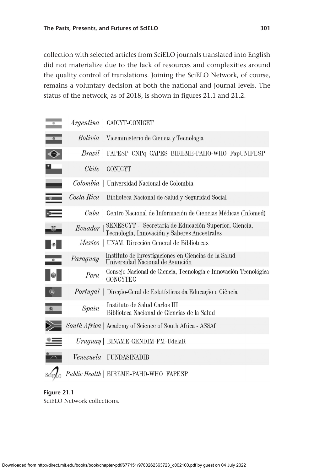collection with selected articles from SciELO journals translated into English did not materialize due to the lack of resources and complexities around the quality control of translations. Joining the SciELO Network, of course, remains a voluntary decision at both the national and journal levels. The status of the network, as of 2018, is shown in figures 21.1 and 21.2.

|                | Argentina   CAIGYT-CONICET                                                                                                             |
|----------------|----------------------------------------------------------------------------------------------------------------------------------------|
| $\omega$       | <i>Bolivia</i>   Viceministerio de Ciencia y Tecnologia                                                                                |
|                | Brazil   FAPESP CNPq CAPES BIREME-PAHO-WHO FapUNIFESP                                                                                  |
|                | $Chile$   CONICYT                                                                                                                      |
| $\hat{\;\;}\;$ | <i>Colombia</i>   Universidad Nacional de Colombia                                                                                     |
| $\bullet$      | <i>Costa Rica</i>   Biblioteca Nacional de Salud y Seguridad Social                                                                    |
|                | $Cuba \mid$ Centro Nacional de Información de Ciencias Médicas (Infomed)                                                               |
|                | <i>Ecuador</i>   SENESCYT - Secretaria de Educación Superior, Ciencia, Tecnología, Innovación y Saberes Ancestrales                    |
|                | Mexico   UNAM, Dirección General de Bibliotecas                                                                                        |
|                | $Paraguay$   Instituto de Investigaciones en Ciencias de la Salud<br>Universidad Nacional de Asunción                                  |
|                | $\operatorname{Peru}\; \mid$ Consejo Nacional de Ciencia, Tecnología e Innovación Tecnológica (CONCYTEC                                |
|                | Portugal   Direção-Geral de Estatísticas da Educação e Ciência                                                                         |
|                | $\emph{Span} \parallel \frac{\emph{Instituto de Salud Carlos III}}{\emph{Rihliates N}}$<br>Biblioteca Nacional de Ciencias de la Salud |
|                | South Africa   Academy of Science of South Africa - ASSAf                                                                              |
|                | Uruguay   BINAME-CENDIM-FM-UdelaR                                                                                                      |
|                | Venezuela   FUNDASINADIB                                                                                                               |
|                | Public Health   BIREME-PAHO-WHO FAPESP                                                                                                 |

## **Figure 21.1**

SciELO Network collections.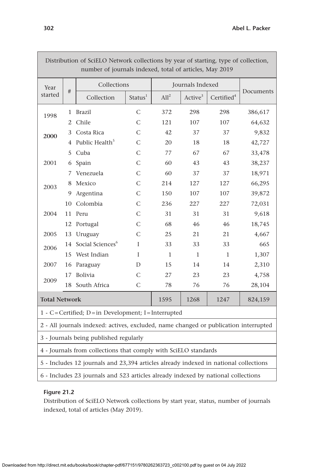|                      |    | Distribution of SciELO Network collections by year of starting, type of collection,<br>number of journals indexed, total of articles, May 2019 |                     |                  |                     |                        |           |
|----------------------|----|------------------------------------------------------------------------------------------------------------------------------------------------|---------------------|------------------|---------------------|------------------------|-----------|
| Year                 |    | Collections                                                                                                                                    |                     |                  | Journals Indexed    |                        |           |
| started              | #  | Collection                                                                                                                                     | Status <sup>1</sup> | All <sup>2</sup> | Active <sup>3</sup> | Certified <sup>4</sup> | Documents |
| 1998                 | 1  | <b>Brazil</b>                                                                                                                                  | C                   | 372              | 298                 | 298                    | 386,617   |
|                      | 2  | Chile                                                                                                                                          | $\mathcal{C}$       | 121              | 107                 | 107                    | 64,632    |
| 2000                 | 3  | Costa Rica                                                                                                                                     | C                   | 42               | 37                  | 37                     | 9,832     |
|                      | 4  | Public Health <sup>5</sup>                                                                                                                     | $\mathcal{C}$       | 20               | 18                  | 18                     | 42,727    |
|                      | 5  | Cuba                                                                                                                                           | $\mathcal{C}$       | 77               | 67                  | 67                     | 33,478    |
| 2001                 | 6  | Spain                                                                                                                                          | C                   | 60               | 43                  | 43                     | 38,237    |
|                      | 7  | Venezuela                                                                                                                                      | C                   | 60               | 37                  | 37                     | 18,971    |
| 2003                 | 8  | Mexico                                                                                                                                         | C                   | 214              | 127                 | 127                    | 66,295    |
|                      | 9  | Argentina                                                                                                                                      | C                   | 150              | 107                 | 107                    | 39,872    |
|                      | 10 | Colombia                                                                                                                                       | C                   | 236              | 227                 | 227                    | 72,031    |
| 2004                 | 11 | Peru                                                                                                                                           | C                   | 31               | 31                  | 31                     | 9,618     |
|                      | 12 | Portugal                                                                                                                                       | C                   | 68               | 46                  | 46                     | 18,745    |
| 2005                 | 13 | Uruguay                                                                                                                                        | C                   | 25               | 21                  | 21                     | 4,667     |
| 2006                 |    | 14 Social Sciences <sup>6</sup>                                                                                                                | $\mathsf{I}$        | 33               | 33                  | 33                     | 665       |
|                      | 15 | West Indian                                                                                                                                    | $\mathbf{I}$        | 1                | 1                   | $\mathbf{1}$           | 1,307     |
| 2007                 | 16 | Paraguay                                                                                                                                       | D                   | 15               | 14                  | 14                     | 2,310     |
|                      | 17 | Bolivia                                                                                                                                        | C                   | 27               | 23                  | 23                     | 4,758     |
| 2009                 |    | 18 South Africa                                                                                                                                | $\mathsf{C}$        | 78               | 76                  | 76                     | 28,104    |
| <b>Total Network</b> |    |                                                                                                                                                |                     | 1595             | 1268                | 1247                   | 824,159   |
|                      |    | 1 - C=Certified; D=in Development; I=Interrupted                                                                                               |                     |                  |                     |                        |           |
|                      |    | 2 - All journals indexed: actives, excluded, name changed or publication interrupted                                                           |                     |                  |                     |                        |           |
|                      |    | 3 - Journals being published regularly                                                                                                         |                     |                  |                     |                        |           |
|                      |    | 4 - Journals from collections that comply with SciELO standards                                                                                |                     |                  |                     |                        |           |
|                      |    | 5 - Includes 12 journals and 23,394 articles already indexed in national collections                                                           |                     |                  |                     |                        |           |
|                      |    | 6 - Includes 23 journals and 523 articles already indexed by national collections                                                              |                     |                  |                     |                        |           |

### **Figure 21.2**

Distribution of SciELO Network collections by start year, status, number of journals indexed, total of articles (May 2019).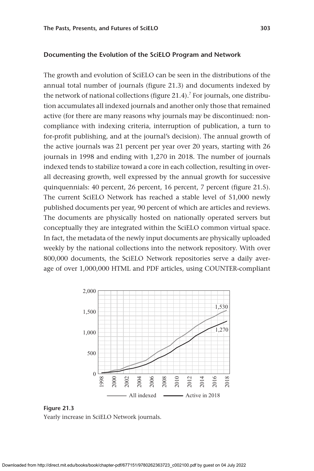#### **Documenting the Evolution of the SciELO Program and Network**

The growth and evolution of SciELO can be seen in the distributions of the annual total number of journals (figure 21.3) and documents indexed by the network of national collections (figure 21.4).<sup>7</sup> For journals, one distribution accumulates all indexed journals and another only those that remained active (for there are many reasons why journals may be discontinued: noncompliance with indexing criteria, interruption of publication, a turn to for-profit publishing, and at the journal's decision). The annual growth of the active journals was 21 percent per year over 20 years, starting with 26 journals in 1998 and ending with 1,270 in 2018. The number of journals indexed tends to stabilize toward a core in each collection, resulting in overall decreasing growth, well expressed by the annual growth for successive quinquennials: 40 percent, 26 percent, 16 percent, 7 percent (figure 21.5). The current SciELO Network has reached a stable level of 51,000 newly published documents per year, 90 percent of which are articles and reviews. The documents are physically hosted on nationally operated servers but conceptually they are integrated within the SciELO common virtual space. In fact, the metadata of the newly input documents are physically uploaded weekly by the national collections into the network repository. With over 800,000 documents, the SciELO Network repositories serve a daily average of over 1,000,000 HTML and PDF articles, using COUNTER-compliant



**Figure 21.3** Yearly increase in SciELO Network journals.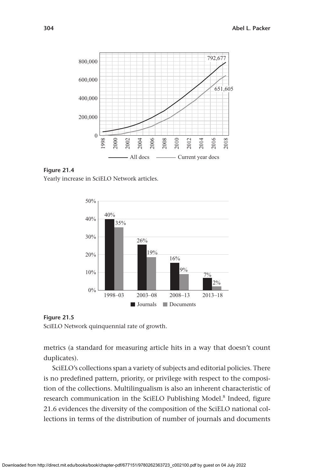

**Figure 21.4** Yearly increase in SciELO Network articles.



### **Figure 21.5**

SciELO Network quinquennial rate of growth.

metrics (a standard for measuring article hits in a way that doesn't count duplicates).

SciELO's collections span a variety of subjects and editorial policies. There is no predefined pattern, priority, or privilege with respect to the composition of the collections. Multilingualism is also an inherent characteristic of research communication in the SciELO Publishing Model.<sup>8</sup> Indeed, figure 21.6 evidences the diversity of the composition of the SciELO national collections in terms of the distribution of number of journals and documents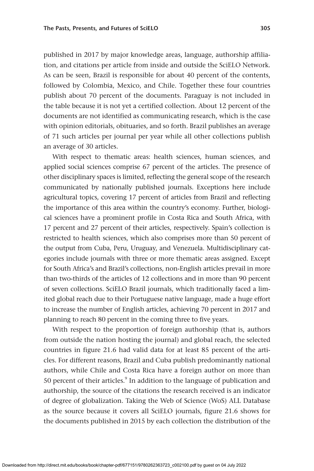published in 2017 by major knowledge areas, language, authorship affiliation, and citations per article from inside and outside the SciELO Network. As can be seen, Brazil is responsible for about 40 percent of the contents, followed by Colombia, Mexico, and Chile. Together these four countries publish about 70 percent of the documents. Paraguay is not included in the table because it is not yet a certified collection. About 12 percent of the documents are not identified as communicating research, which is the case with opinion editorials, obituaries, and so forth. Brazil publishes an average of 71 such articles per journal per year while all other collections publish an average of 30 articles.

With respect to thematic areas: health sciences, human sciences, and applied social sciences comprise 67 percent of the articles. The presence of other disciplinary spaces is limited, reflecting the general scope of the research communicated by nationally published journals. Exceptions here include agricultural topics, covering 17 percent of articles from Brazil and reflecting the importance of this area within the country's economy. Further, biological sciences have a prominent profile in Costa Rica and South Africa, with 17 percent and 27 percent of their articles, respectively. Spain's collection is restricted to health sciences, which also comprises more than 50 percent of the output from Cuba, Peru, Uruguay, and Venezuela. Multidisciplinary categories include journals with three or more thematic areas assigned. Except for South Africa's and Brazil's collections, non-English articles prevail in more than two-thirds of the articles of 12 collections and in more than 90 percent of seven collections. SciELO Brazil journals, which traditionally faced a limited global reach due to their Portuguese native language, made a huge effort to increase the number of English articles, achieving 70 percent in 2017 and planning to reach 80 percent in the coming three to five years.

With respect to the proportion of foreign authorship (that is, authors from outside the nation hosting the journal) and global reach, the selected countries in figure 21.6 had valid data for at least 85 percent of the articles. For different reasons, Brazil and Cuba publish predominantly national authors, while Chile and Costa Rica have a foreign author on more than 50 percent of their articles.<sup>9</sup> In addition to the language of publication and authorship, the source of the citations the research received is an indicator of degree of globalization. Taking the Web of Science (WoS) ALL Database as the source because it covers all SciELO journals, figure 21.6 shows for the documents published in 2015 by each collection the distribution of the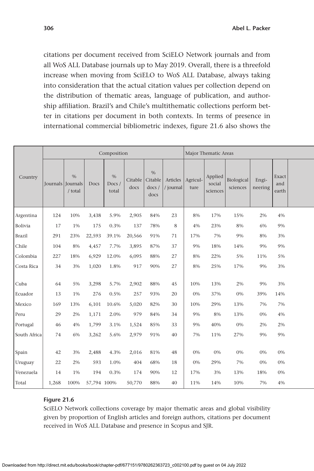citations per document received from SciELO Network journals and from all WoS ALL Database journals up to May 2019. Overall, there is a threefold increase when moving from SciELO to WoS ALL Database, always taking into consideration that the actual citation values per collection depend on the distribution of thematic areas, language of publication, and authorship affiliation. Brazil's and Chile's multithematic collections perform better in citations per document in both contexts. In terms of presence in international commercial bibliometric indexes, figure 21.6 also shows the

|                          | Major Thematic Areas<br>Composition |                          |                  |                       |              |                       |                                                                  |           |                               |                                  |           |                       |  |
|--------------------------|-------------------------------------|--------------------------|------------------|-----------------------|--------------|-----------------------|------------------------------------------------------------------|-----------|-------------------------------|----------------------------------|-----------|-----------------------|--|
| Country                  | Journals   Journals                 | $\frac{0}{6}$<br>/ total | Docs             | $\%$<br>Docs<br>total | docs         | $\%$<br>docs/<br>docs | Citable   Citable   Articles   Agricul-<br>$\frac{1}{2}$ journal | ture      | Applied<br>social<br>sciences | Biological<br>sciences   neering | Engi-     | Exact<br>and<br>earth |  |
| Argentina                | 124                                 | 10%                      | 3,438            | 5.9%                  | 2.905        | 84%                   | 23                                                               | 8%        | 17%                           | 15%                              | 2%        | 4%                    |  |
| Bolivia                  | 17                                  | 1%                       | 175              | 0.3%                  | 137          | 78%                   | 8                                                                | 4%        | 23%                           | 8%                               | 6%        | 9%                    |  |
| Brazil                   | 291                                 | 23%                      | 22,593           | 39.1%                 | 20,566       | 91%                   | 71                                                               | 17%       | 7%                            | 9%                               | 8%        | 3%                    |  |
| Chile                    | 104                                 | 8%                       | 4,457            | 7.7%                  | 3,895        | 87%                   | 37                                                               | 9%        | 18%                           | 14%                              | 9%        | 9%                    |  |
| Colombia                 | 227                                 | 18%                      | 6,929            | 12.0%                 | 6,095        | 88%                   | 27                                                               | 8%        | 22%                           | 5%                               | 11%       | 5%                    |  |
| Costa Rica               | 34                                  | 3%                       | 1,020            | 1.8%                  | 917          | 90%                   | 27                                                               | 8%        | 25%                           | 17%                              | 9%        | 3%                    |  |
|                          |                                     |                          |                  |                       |              |                       |                                                                  |           |                               |                                  |           |                       |  |
| Cuba                     | 64                                  | 5%                       | 3,298            | 5.7%                  | 2,902        | 88%                   | 45                                                               | 10%       | 13%                           | 2%<br>$0\%$                      | 9%        | 3%                    |  |
| Ecuador<br>Mexico        | 13<br>169                           | 1%<br>13%                | 276<br>6,101     | 0.5%<br>10.6%         | 257<br>5,020 | 93%<br>82%            | 20<br>30                                                         | 0%<br>10% | 37%<br>29%                    | 13%                              | 39%<br>7% | 14%<br>7%             |  |
|                          | 29                                  | 2%                       | 1.171            | 2.0%                  | 979          | 84%                   | 34                                                               | 9%        | 8%                            | 13%                              | 0%        | 4%                    |  |
| Peru                     | 46                                  | 4%                       | 1.799            | 3.1%                  | 1,524        | 85%                   | 33                                                               | 9%        | 40%                           | $0\%$                            | 2%        | 2%                    |  |
| Portugal<br>South Africa | 74                                  | 6%                       | 3,262            | 5.6%                  | 2,979        | 91%                   | 40                                                               | 7%        | 11%                           | 27%                              | 9%        | 9%                    |  |
|                          |                                     |                          |                  |                       |              |                       |                                                                  |           |                               |                                  |           |                       |  |
| Spain                    | 42                                  | 3%                       | 2.488            | 4.3%                  | 2,016        | 81%                   | 48                                                               | 0%        | 0%                            | 0%                               | 0%        | 0%                    |  |
| Uruguay                  | 22                                  | 2%                       | 593              | 1.0%                  | 404          | 68%                   | 18                                                               | 0%        | 29%                           | 7%                               | 0%        | 0%                    |  |
| Venezuela                | 14                                  | 1%                       | 194              | 0.3%                  | 174          | 90%                   | 12                                                               | 17%       | 3%                            | 13%                              | 18%       | 0%                    |  |
| Total                    | 1,268                               |                          | 100% 57,794 100% |                       | 50,770       | 88%                   | 40                                                               | 11%       | 14%                           | 10%                              | 7%        | 4%                    |  |

#### **Figure 21.6**

SciELO Network collections coverage by major thematic areas and global visibility given by proportion of English articles and foreign authors, citations per document received in WoS ALL Database and presence in Scopus and SJR.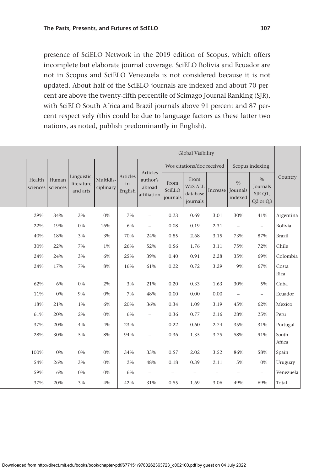presence of SciELO Network in the 2019 edition of Scopus, which offers incomplete but elaborate journal coverage. SciELO Bolivia and Ecuador are not in Scopus and SciELO Venezuela is not considered because it is not updated. About half of the SciELO journals are indexed and about 70 percent are above the twenty-fifth percentile of Scimago Journal Ranking (SJR), with SciELO South Africa and Brazil journals above 91 percent and 87 percent respectively (this could be due to language factors as these latter two nations, as noted, publish predominantly in English).

| Global Visibility<br>Wos citations/doc received<br>Scopus indexing<br>Articles<br>Articles<br>Linguistic,<br>Country<br>$\%$<br>Multidis-<br>From<br>Human<br>Health<br>author's<br>$\%$<br>From<br>literature<br>in<br>WoS ALL<br>Journals<br>sciences<br>ciplinary<br>abroad<br>sciences  <br>SciELO<br>Increase Journals<br>English<br>and arts<br>SJR Q1,<br>affiliation<br>database<br>indexed<br>journals<br>$Q2$ or $Q3$<br>journals<br>29%<br>34%<br>3%<br>$0\%$<br>3.01<br>30%<br>41%<br>7%<br>0.23<br>0.69<br>Argentina<br>$\overline{\phantom{a}}$<br>19%<br>2.31<br>22%<br>$0\%$<br>16%<br>6%<br>0.19<br>Bolivia<br>0.08<br>$\overline{\phantom{a}}$<br>$\overline{\phantom{a}}$<br>$\overline{\phantom{a}}$<br>18%<br>3%<br>3%<br>70%<br>24%<br>2.68<br>3.15<br>73%<br>87%<br>40%<br>0.85<br>Brazil<br>Chile<br>22%<br>7%<br>1%<br>52%<br>1.76<br>3.11<br>75%<br>72%<br>30%<br>26%<br>0.56<br>3%<br>6%<br>39%<br>2.28<br>35%<br>69%<br>Colombia<br>24%<br>24%<br>25%<br>0.40<br>0.91<br>8%<br>24%<br>17%<br>7%<br>16%<br>61%<br>0.22<br>0.72<br>3.29<br>9%<br>67%<br>Costa<br>Rica<br>62%<br>$0\%$<br>0.33<br>1.63<br>30%<br>5%<br>6%<br>2%<br>3%<br>21%<br>0.20<br>Cuba<br>48%<br>11%<br>0%<br>9%<br>$0\%$<br>0.00<br>7%<br>0.00<br>0.00<br>Ecuador<br>$\overline{\phantom{a}}$<br>$\overline{\phantom{a}}$<br>18%<br>21%<br>36%<br>1.09<br>3.19<br>45%<br>62%<br>1%<br>6%<br>20%<br>0.34<br>Mexico<br>20%<br>2%<br>$0\%$<br>6%<br>25%<br>61%<br>0.36<br>0.77<br>2.16<br>28%<br>Peru<br>$\overline{\phantom{a}}$<br>20%<br>4%<br>4%<br>23%<br>0.22<br>2.74<br>35%<br>31%<br>37%<br>0.60<br>Portugal<br>$\overline{\phantom{a}}$<br>30%<br>5%<br>8%<br>3.75<br>58%<br>91%<br>28%<br>94%<br>0.36<br>1.35<br>South<br>$\overline{\phantom{a}}$<br>Africa<br>0%<br>0%<br>0%<br>33%<br>2.02<br>3.52<br>58%<br>100%<br>34%<br>0.57<br>86%<br>Spain<br>48%<br>5%<br>0%<br>54%<br>26%<br>3%<br>$0\%$<br>0.39<br>2.11<br>Uruguay<br>2%<br>0.18<br>Venezuela<br>59%<br>6%<br>$0\%$<br>$0\%$<br>6%<br>$\qquad \qquad -$<br>$\overline{\phantom{0}}$<br>3%<br>42%<br>1.69<br>49%<br>69%<br>37%<br>20%<br>4%<br>31%<br>0.55<br>3.06<br>Total |  |  |  |  |  |  |
|-----------------------------------------------------------------------------------------------------------------------------------------------------------------------------------------------------------------------------------------------------------------------------------------------------------------------------------------------------------------------------------------------------------------------------------------------------------------------------------------------------------------------------------------------------------------------------------------------------------------------------------------------------------------------------------------------------------------------------------------------------------------------------------------------------------------------------------------------------------------------------------------------------------------------------------------------------------------------------------------------------------------------------------------------------------------------------------------------------------------------------------------------------------------------------------------------------------------------------------------------------------------------------------------------------------------------------------------------------------------------------------------------------------------------------------------------------------------------------------------------------------------------------------------------------------------------------------------------------------------------------------------------------------------------------------------------------------------------------------------------------------------------------------------------------------------------------------------------------------------------------------------------------------------------------------------------------------------------------------------------------------------------------------------------------------------------------------------------------------------------------------------------|--|--|--|--|--|--|
|                                                                                                                                                                                                                                                                                                                                                                                                                                                                                                                                                                                                                                                                                                                                                                                                                                                                                                                                                                                                                                                                                                                                                                                                                                                                                                                                                                                                                                                                                                                                                                                                                                                                                                                                                                                                                                                                                                                                                                                                                                                                                                                                               |  |  |  |  |  |  |
|                                                                                                                                                                                                                                                                                                                                                                                                                                                                                                                                                                                                                                                                                                                                                                                                                                                                                                                                                                                                                                                                                                                                                                                                                                                                                                                                                                                                                                                                                                                                                                                                                                                                                                                                                                                                                                                                                                                                                                                                                                                                                                                                               |  |  |  |  |  |  |
|                                                                                                                                                                                                                                                                                                                                                                                                                                                                                                                                                                                                                                                                                                                                                                                                                                                                                                                                                                                                                                                                                                                                                                                                                                                                                                                                                                                                                                                                                                                                                                                                                                                                                                                                                                                                                                                                                                                                                                                                                                                                                                                                               |  |  |  |  |  |  |
|                                                                                                                                                                                                                                                                                                                                                                                                                                                                                                                                                                                                                                                                                                                                                                                                                                                                                                                                                                                                                                                                                                                                                                                                                                                                                                                                                                                                                                                                                                                                                                                                                                                                                                                                                                                                                                                                                                                                                                                                                                                                                                                                               |  |  |  |  |  |  |
|                                                                                                                                                                                                                                                                                                                                                                                                                                                                                                                                                                                                                                                                                                                                                                                                                                                                                                                                                                                                                                                                                                                                                                                                                                                                                                                                                                                                                                                                                                                                                                                                                                                                                                                                                                                                                                                                                                                                                                                                                                                                                                                                               |  |  |  |  |  |  |
|                                                                                                                                                                                                                                                                                                                                                                                                                                                                                                                                                                                                                                                                                                                                                                                                                                                                                                                                                                                                                                                                                                                                                                                                                                                                                                                                                                                                                                                                                                                                                                                                                                                                                                                                                                                                                                                                                                                                                                                                                                                                                                                                               |  |  |  |  |  |  |
|                                                                                                                                                                                                                                                                                                                                                                                                                                                                                                                                                                                                                                                                                                                                                                                                                                                                                                                                                                                                                                                                                                                                                                                                                                                                                                                                                                                                                                                                                                                                                                                                                                                                                                                                                                                                                                                                                                                                                                                                                                                                                                                                               |  |  |  |  |  |  |
|                                                                                                                                                                                                                                                                                                                                                                                                                                                                                                                                                                                                                                                                                                                                                                                                                                                                                                                                                                                                                                                                                                                                                                                                                                                                                                                                                                                                                                                                                                                                                                                                                                                                                                                                                                                                                                                                                                                                                                                                                                                                                                                                               |  |  |  |  |  |  |
|                                                                                                                                                                                                                                                                                                                                                                                                                                                                                                                                                                                                                                                                                                                                                                                                                                                                                                                                                                                                                                                                                                                                                                                                                                                                                                                                                                                                                                                                                                                                                                                                                                                                                                                                                                                                                                                                                                                                                                                                                                                                                                                                               |  |  |  |  |  |  |
|                                                                                                                                                                                                                                                                                                                                                                                                                                                                                                                                                                                                                                                                                                                                                                                                                                                                                                                                                                                                                                                                                                                                                                                                                                                                                                                                                                                                                                                                                                                                                                                                                                                                                                                                                                                                                                                                                                                                                                                                                                                                                                                                               |  |  |  |  |  |  |
|                                                                                                                                                                                                                                                                                                                                                                                                                                                                                                                                                                                                                                                                                                                                                                                                                                                                                                                                                                                                                                                                                                                                                                                                                                                                                                                                                                                                                                                                                                                                                                                                                                                                                                                                                                                                                                                                                                                                                                                                                                                                                                                                               |  |  |  |  |  |  |
|                                                                                                                                                                                                                                                                                                                                                                                                                                                                                                                                                                                                                                                                                                                                                                                                                                                                                                                                                                                                                                                                                                                                                                                                                                                                                                                                                                                                                                                                                                                                                                                                                                                                                                                                                                                                                                                                                                                                                                                                                                                                                                                                               |  |  |  |  |  |  |
|                                                                                                                                                                                                                                                                                                                                                                                                                                                                                                                                                                                                                                                                                                                                                                                                                                                                                                                                                                                                                                                                                                                                                                                                                                                                                                                                                                                                                                                                                                                                                                                                                                                                                                                                                                                                                                                                                                                                                                                                                                                                                                                                               |  |  |  |  |  |  |
|                                                                                                                                                                                                                                                                                                                                                                                                                                                                                                                                                                                                                                                                                                                                                                                                                                                                                                                                                                                                                                                                                                                                                                                                                                                                                                                                                                                                                                                                                                                                                                                                                                                                                                                                                                                                                                                                                                                                                                                                                                                                                                                                               |  |  |  |  |  |  |
|                                                                                                                                                                                                                                                                                                                                                                                                                                                                                                                                                                                                                                                                                                                                                                                                                                                                                                                                                                                                                                                                                                                                                                                                                                                                                                                                                                                                                                                                                                                                                                                                                                                                                                                                                                                                                                                                                                                                                                                                                                                                                                                                               |  |  |  |  |  |  |
|                                                                                                                                                                                                                                                                                                                                                                                                                                                                                                                                                                                                                                                                                                                                                                                                                                                                                                                                                                                                                                                                                                                                                                                                                                                                                                                                                                                                                                                                                                                                                                                                                                                                                                                                                                                                                                                                                                                                                                                                                                                                                                                                               |  |  |  |  |  |  |
|                                                                                                                                                                                                                                                                                                                                                                                                                                                                                                                                                                                                                                                                                                                                                                                                                                                                                                                                                                                                                                                                                                                                                                                                                                                                                                                                                                                                                                                                                                                                                                                                                                                                                                                                                                                                                                                                                                                                                                                                                                                                                                                                               |  |  |  |  |  |  |
|                                                                                                                                                                                                                                                                                                                                                                                                                                                                                                                                                                                                                                                                                                                                                                                                                                                                                                                                                                                                                                                                                                                                                                                                                                                                                                                                                                                                                                                                                                                                                                                                                                                                                                                                                                                                                                                                                                                                                                                                                                                                                                                                               |  |  |  |  |  |  |
|                                                                                                                                                                                                                                                                                                                                                                                                                                                                                                                                                                                                                                                                                                                                                                                                                                                                                                                                                                                                                                                                                                                                                                                                                                                                                                                                                                                                                                                                                                                                                                                                                                                                                                                                                                                                                                                                                                                                                                                                                                                                                                                                               |  |  |  |  |  |  |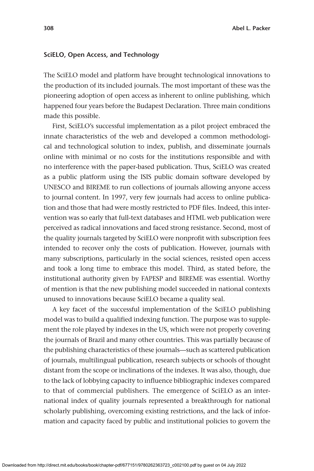#### **SciELO, Open Access, and Technology**

The SciELO model and platform have brought technological innovations to the production of its included journals. The most important of these was the pioneering adoption of open access as inherent to online publishing, which happened four years before the Budapest Declaration. Three main conditions made this possible.

First, SciELO's successful implementation as a pilot project embraced the innate characteristics of the web and developed a common methodological and technological solution to index, publish, and disseminate journals online with minimal or no costs for the institutions responsible and with no interference with the paper-based publication. Thus, SciELO was created as a public platform using the ISIS public domain software developed by UNESCO and BIREME to run collections of journals allowing anyone access to journal content. In 1997, very few journals had access to online publication and those that had were mostly restricted to PDF files. Indeed, this intervention was so early that full-text databases and HTML web publication were perceived as radical innovations and faced strong resistance. Second, most of the quality journals targeted by SciELO were nonprofit with subscription fees intended to recover only the costs of publication. However, journals with many subscriptions, particularly in the social sciences, resisted open access and took a long time to embrace this model. Third, as stated before, the institutional authority given by FAPESP and BIREME was essential. Worthy of mention is that the new publishing model succeeded in national contexts unused to innovations because SciELO became a quality seal.

A key facet of the successful implementation of the SciELO publishing model was to build a qualified indexing function. The purpose was to supplement the role played by indexes in the US, which were not properly covering the journals of Brazil and many other countries. This was partially because of the publishing characteristics of these journals—such as scattered publication of journals, multilingual publication, research subjects or schools of thought distant from the scope or inclinations of the indexes. It was also, though, due to the lack of lobbying capacity to influence bibliographic indexes compared to that of commercial publishers. The emergence of SciELO as an international index of quality journals represented a breakthrough for national scholarly publishing, overcoming existing restrictions, and the lack of information and capacity faced by public and institutional policies to govern the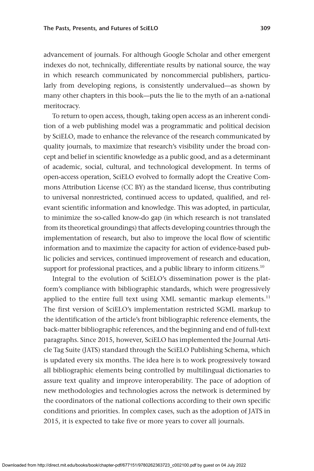advancement of journals. For although Google Scholar and other emergent indexes do not, technically, differentiate results by national source, the way in which research communicated by noncommercial publishers, particularly from developing regions, is consistently undervalued—as shown by many other chapters in this book—puts the lie to the myth of an a-national meritocracy.

To return to open access, though, taking open access as an inherent condition of a web publishing model was a programmatic and political decision by SciELO, made to enhance the relevance of the research communicated by quality journals, to maximize that research's visibility under the broad concept and belief in scientific knowledge as a public good, and as a determinant of academic, social, cultural, and technological development. In terms of open-access operation, SciELO evolved to formally adopt the Creative Commons Attribution License (CC BY) as the standard license, thus contributing to universal nonrestricted, continued access to updated, qualified, and relevant scientific information and knowledge. This was adopted, in particular, to minimize the so-called know-do gap (in which research is not translated from its theoretical groundings) that affects developing countries through the implementation of research, but also to improve the local flow of scientific information and to maximize the capacity for action of evidence-based public policies and services, continued improvement of research and education, support for professional practices, and a public library to inform citizens. $10$ 

Integral to the evolution of SciELO's dissemination power is the platform's compliance with bibliographic standards, which were progressively applied to the entire full text using XML semantic markup elements. $11$ The first version of SciELO's implementation restricted SGML markup to the identification of the article's front bibliographic reference elements, the back-matter bibliographic references, and the beginning and end of full-text paragraphs. Since 2015, however, SciELO has implemented the Journal Article Tag Suite (JATS) standard through the SciELO Publishing Schema, which is updated every six months. The idea here is to work progressively toward all bibliographic elements being controlled by multilingual dictionaries to assure text quality and improve interoperability. The pace of adoption of new methodologies and technologies across the network is determined by the coordinators of the national collections according to their own specific conditions and priorities. In complex cases, such as the adoption of JATS in 2015, it is expected to take five or more years to cover all journals.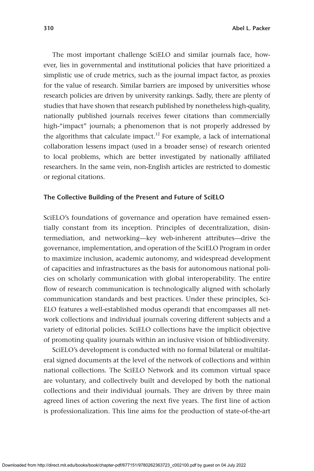The most important challenge SciELO and similar journals face, however, lies in governmental and institutional policies that have prioritized a simplistic use of crude metrics, such as the journal impact factor, as proxies for the value of research. Similar barriers are imposed by universities whose research policies are driven by university rankings. Sadly, there are plenty of studies that have shown that research published by nonetheless high-quality, nationally published journals receives fewer citations than commercially high-"impact" journals; a phenomenon that is not properly addressed by the algorithms that calculate impact.<sup>12</sup> For example, a lack of international collaboration lessens impact (used in a broader sense) of research oriented to local problems, which are better investigated by nationally affiliated researchers. In the same vein, non-English articles are restricted to domestic or regional citations.

#### **The Collective Building of the Present and Future of SciELO**

SciELO's foundations of governance and operation have remained essentially constant from its inception. Principles of decentralization, disintermediation, and networking—key web-inherent attributes—drive the governance, implementation, and operation of the SciELO Program in order to maximize inclusion, academic autonomy, and widespread development of capacities and infrastructures as the basis for autonomous national policies on scholarly communication with global interoperability. The entire flow of research communication is technologically aligned with scholarly communication standards and best practices. Under these principles, Sci-ELO features a well-established modus operandi that encompasses all network collections and individual journals covering different subjects and a variety of editorial policies. SciELO collections have the implicit objective of promoting quality journals within an inclusive vision of bibliodiversity.

SciELO's development is conducted with no formal bilateral or multilateral signed documents at the level of the network of collections and within national collections. The SciELO Network and its common virtual space are voluntary, and collectively built and developed by both the national collections and their individual journals. They are driven by three main agreed lines of action covering the next five years. The first line of action is professionalization. This line aims for the production of state-of-the-art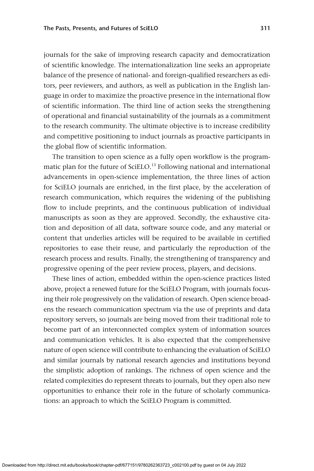journals for the sake of improving research capacity and democratization of scientific knowledge. The internationalization line seeks an appropriate balance of the presence of national- and foreign-qualified researchers as editors, peer reviewers, and authors, as well as publication in the English language in order to maximize the proactive presence in the international flow of scientific information. The third line of action seeks the strengthening of operational and financial sustainability of the journals as a commitment to the research community. The ultimate objective is to increase credibility and competitive positioning to induct journals as proactive participants in the global flow of scientific information.

The transition to open science as a fully open workflow is the programmatic plan for the future of SciELO.<sup>13</sup> Following national and international advancements in open-science implementation, the three lines of action for SciELO journals are enriched, in the first place, by the acceleration of research communication, which requires the widening of the publishing flow to include preprints, and the continuous publication of individual manuscripts as soon as they are approved. Secondly, the exhaustive citation and deposition of all data, software source code, and any material or content that underlies articles will be required to be available in certified repositories to ease their reuse, and particularly the reproduction of the research process and results. Finally, the strengthening of transparency and progressive opening of the peer review process, players, and decisions.

These lines of action, embedded within the open-science practices listed above, project a renewed future for the SciELO Program, with journals focusing their role progressively on the validation of research. Open science broadens the research communication spectrum via the use of preprints and data repository servers, so journals are being moved from their traditional role to become part of an interconnected complex system of information sources and communication vehicles. It is also expected that the comprehensive nature of open science will contribute to enhancing the evaluation of SciELO and similar journals by national research agencies and institutions beyond the simplistic adoption of rankings. The richness of open science and the related complexities do represent threats to journals, but they open also new opportunities to enhance their role in the future of scholarly communications: an approach to which the SciELO Program is committed.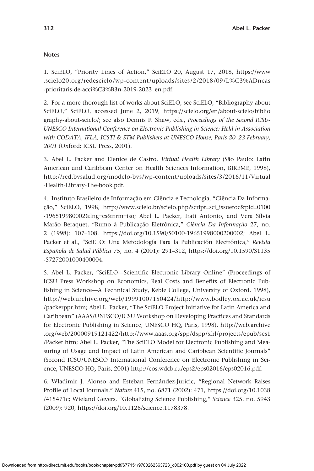## **Notes**

1. SciELO, "Priority Lines of Action," SciELO 20, August 17, 2018, [https://www](https://www.scielo20.org/redescielo/wp-content/uploads/sites/2/2018/09/L%C3%ADneas-prioritaris-de-acci%C3%B3n-2019-2023_en.pdf) [.scielo20.org/redescielo/wp-content/uploads/sites/2/2018/09/L%C3%ADneas](https://www.scielo20.org/redescielo/wp-content/uploads/sites/2/2018/09/L%C3%ADneas-prioritaris-de-acci%C3%B3n-2019-2023_en.pdf) [-prioritaris-de-acci%C3%B3n-2019-2023\\_en.pdf.](https://www.scielo20.org/redescielo/wp-content/uploads/sites/2/2018/09/L%C3%ADneas-prioritaris-de-acci%C3%B3n-2019-2023_en.pdf)

2. For a more thorough list of works about SciELO, see SciELO, "Bibliography about SciELO," SciELO, accessed June 2, 2019, [https://scielo.org/en/about-scielo/biblio](https://scielo.org/en/about-scielo/bibliography-about-scielo/) [graphy-about-scielo/](https://scielo.org/en/about-scielo/bibliography-about-scielo/); see also Dennis F. Shaw, eds., *Proceedings of the Second ICSU-UNESCO International Conference on Electronic Publishing in Science: Held in Association with CODATA, IFLA, ICSTI & STM Publishers at UNESCO House, Paris 20–23 February, 2001* (Oxford: ICSU Press, 2001).

3. Abel L. Packer and Elenice de Castro, *Virtual Health Library* (São Paulo: Latin American and Caribbean Center on Health Sciences Information, BIREME, 1998), [http://red.bvsalud.org/modelo-bvs/wp-content/uploads/sites/3/2016/11/Virtual](http://red.bvsalud.org/modelo-bvs/wp-content/uploads/sites/3/2016/11/Virtual-Health-Library-The-book.pdf) [-Health-Library-The-book.pdf](http://red.bvsalud.org/modelo-bvs/wp-content/uploads/sites/3/2016/11/Virtual-Health-Library-The-book.pdf).

4. Instituto Brasileiro de Informação em Ciência e Tecnologia, "Ciência Da Informação," SciELO, 1998, [http://www.scielo.br/scielo.php?script](http://www.scielo.br/scielo.php?script=sci_issuetoc&pid=0100-196519980002&lng=es&nrm=iso)=sci\_issuetoc&pid=0100 [-196519980002&lng](http://www.scielo.br/scielo.php?script=sci_issuetoc&pid=0100-196519980002&lng=es&nrm=iso)=es&nrm=iso; Abel L. Packer, Irati Antonio, and Vera Sílvia Marão Beraquet, "Rumo à Publicação Eletrônica," *Ciência Da Informação* 27, no. 2 (1998): 107–108, [https://doi.org/10.1590/S0100-19651998000200002;](https://doi.org/10.1590/S0100-19651998000200002) Abel L. Packer et al., "SciELO: Una Metodología Para la Publicación Electrónica," *Revista Española de Salud Pública* 75, no. 4 (2001): 291–312, [https://doi.org/10.1590/S1135](https://doi.org/10.1590/S1135-57272001000400004) [-57272001000400004](https://doi.org/10.1590/S1135-57272001000400004).

5. Abel L. Packer, "SciELO—Scientific Electronic Library Online" (Proceedings of ICSU Press Workshop on Economics, Real Costs and Benefits of Electronic Publishing in Science—A Technical Study, Keble College, University of Oxford, 1998), [http://web.archive.org/web/19991007150424/http://www.bodley.ox.ac.uk/icsu](http://web.archive.org/web/19991007150424/http://www.bodley.ox.ac.uk/icsu/packerppr.htm) [/packerppr.htm](http://web.archive.org/web/19991007150424/http://www.bodley.ox.ac.uk/icsu/packerppr.htm); Abel L. Packer, "The SciELO Project Initiative for Latin America and Caribbean" (AAAS/UNESCO/ICSU Workshop on Developing Practices and Standards for Electronic Publishing in Science, UNESCO HQ, Paris, 1998), [http://web.archive](http://web.archive.org/web/20000919121422/http://www.aaas.org/spp/dspp/sfrl/projects/epub/ses1/Packer.htm) [.org/web/20000919121422/http://www.aaas.org/spp/dspp/sfrl/projects/epub/ses1](http://web.archive.org/web/20000919121422/http://www.aaas.org/spp/dspp/sfrl/projects/epub/ses1/Packer.htm) [/Packer.htm](http://web.archive.org/web/20000919121422/http://www.aaas.org/spp/dspp/sfrl/projects/epub/ses1/Packer.htm); Abel L. Packer, "The SciELO Model for Electronic Publishing and Measuring of Usage and Impact of Latin American and Caribbean Scientific Journals" (Second ICSU/UNESCO International Conference on Electronic Publishing in Science, UNESCO HQ, Paris, 2001)<http://eos.wdcb.ru/eps2/eps02016/eps02016.pdf>.

6. Wladimir J. Alonso and Esteban Fernández-Juricic, "Regional Network Raises Profile of Local Journals," *Nature* 415, no. 6871 (2002): 471, [https://doi.org/10.1038](https://doi.org/10.1038/415471c) [/415471c](https://doi.org/10.1038/415471c); Wieland Gevers, "Globalizing Science Publishing," *Science* 325, no. 5943 (2009): 920, [https://doi.org/10.1126/science.1178378.](https://doi.org/10.1126/science.1178378)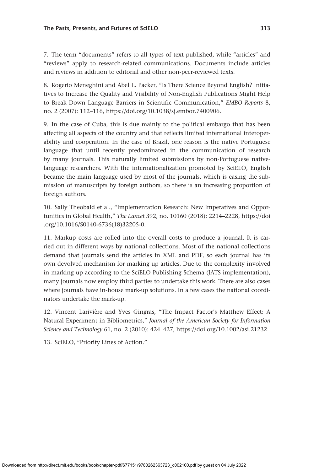7. The term "documents" refers to all types of text published, while "articles" and "reviews" apply to research-related communications. Documents include articles and reviews in addition to editorial and other non-peer-reviewed texts.

8. Rogerio Meneghini and Abel L. Packer, "Is There Science Beyond English? Initiatives to Increase the Quality and Visibility of Non-English Publications Might Help to Break Down Language Barriers in Scientific Communication," *EMBO Reports* 8, no. 2 (2007): 112–116, <https://doi.org/10.1038/sj.embor.7400906>.

9. In the case of Cuba, this is due mainly to the political embargo that has been affecting all aspects of the country and that reflects limited international interoperability and cooperation. In the case of Brazil, one reason is the native Portuguese language that until recently predominated in the communication of research by many journals. This naturally limited submissions by non-Portuguese nativelanguage researchers. With the internationalization promoted by SciELO, English became the main language used by most of the journals, which is easing the submission of manuscripts by foreign authors, so there is an increasing proportion of foreign authors.

10. Sally Theobald et al., "Implementation Research: New Imperatives and Opportunities in Global Health," *The Lancet* 392, no. 10160 (2018): 2214–2228, [https://doi](https://doi.org/10.1016/S0140-6736(18)32205-0) [.org/10.1016/S0140-6736\(18\)32205-0](https://doi.org/10.1016/S0140-6736(18)32205-0).

11. Markup costs are rolled into the overall costs to produce a journal. It is carried out in different ways by national collections. Most of the national collections demand that journals send the articles in XML and PDF, so each journal has its own devolved mechanism for marking up articles. Due to the complexity involved in marking up according to the SciELO Publishing Schema (JATS implementation), many journals now employ third parties to undertake this work. There are also cases where journals have in-house mark-up solutions. In a few cases the national coordinators undertake the mark-up.

12. Vincent Larivière and Yves Gingras, "The Impact Factor's Matthew Effect: A Natural Experiment in Bibliometrics," *Journal of the American Society for Information Science and Technology* 61, no. 2 (2010): 424–427, [https://doi.org/10.1002/asi.21232.](https://doi.org/10.1002/asi.21232)

13. SciELO, "Priority Lines of Action."